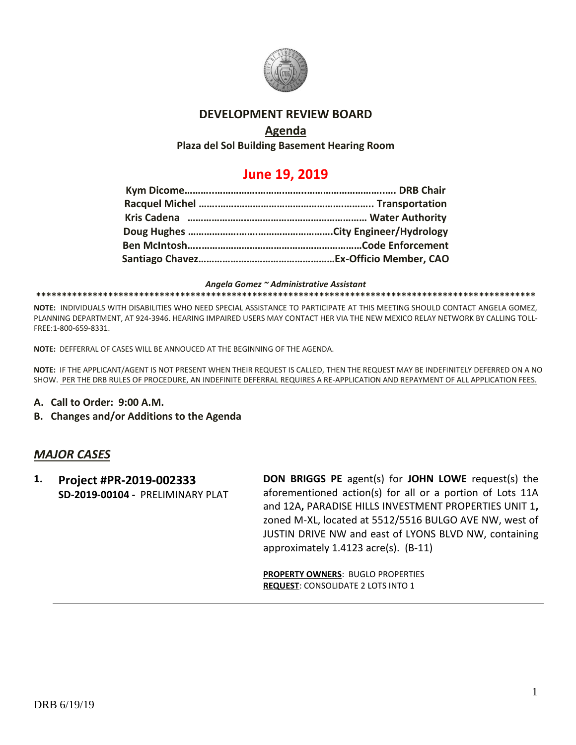

# **DEVELOPMENT REVIEW BOARD**

# **Agenda**

**Plaza del Sol Building Basement Hearing Room**

# **June 19, 2019**

#### *Angela Gomez ~ Administrative Assistant*

**\*\*\*\*\*\*\*\*\*\*\*\*\*\*\*\*\*\*\*\*\*\*\*\*\*\*\*\*\*\*\*\*\*\*\*\*\*\*\*\*\*\*\*\*\*\*\*\*\*\*\*\*\*\*\*\*\*\*\*\*\*\*\*\*\*\*\*\*\*\*\*\*\*\*\*\*\*\*\*\*\*\*\*\*\*\*\*\*\*\*\*\*\*\*\*\*\***

**NOTE:** INDIVIDUALS WITH DISABILITIES WHO NEED SPECIAL ASSISTANCE TO PARTICIPATE AT THIS MEETING SHOULD CONTACT ANGELA GOMEZ, PLANNING DEPARTMENT, AT 924-3946. HEARING IMPAIRED USERS MAY CONTACT HER VIA THE NEW MEXICO RELAY NETWORK BY CALLING TOLL-FREE:1-800-659-8331.

**NOTE:** DEFFERRAL OF CASES WILL BE ANNOUCED AT THE BEGINNING OF THE AGENDA.

**NOTE:** IF THE APPLICANT/AGENT IS NOT PRESENT WHEN THEIR REQUEST IS CALLED, THEN THE REQUEST MAY BE INDEFINITELY DEFERRED ON A NO SHOW. PER THE DRB RULES OF PROCEDURE, AN INDEFINITE DEFERRAL REQUIRES A RE-APPLICATION AND REPAYMENT OF ALL APPLICATION FEES.

- **A. Call to Order: 9:00 A.M.**
- **B. Changes and/or Additions to the Agenda**

### *MAJOR CASES*

**1. Project #PR-2019-002333 SD-2019-00104 -** PRELIMINARY PLAT **DON BRIGGS PE** agent(s) for **JOHN LOWE** request(s) the aforementioned action(s) for all or a portion of Lots 11A and 12A**,** PARADISE HILLS INVESTMENT PROPERTIES UNIT 1**,** zoned M-XL, located at 5512/5516 BULGO AVE NW, west of JUSTIN DRIVE NW and east of LYONS BLVD NW, containing approximately 1.4123 acre(s). (B-11)

**PROPERTY OWNERS**: BUGLO PROPERTIES **REQUEST**: CONSOLIDATE 2 LOTS INTO 1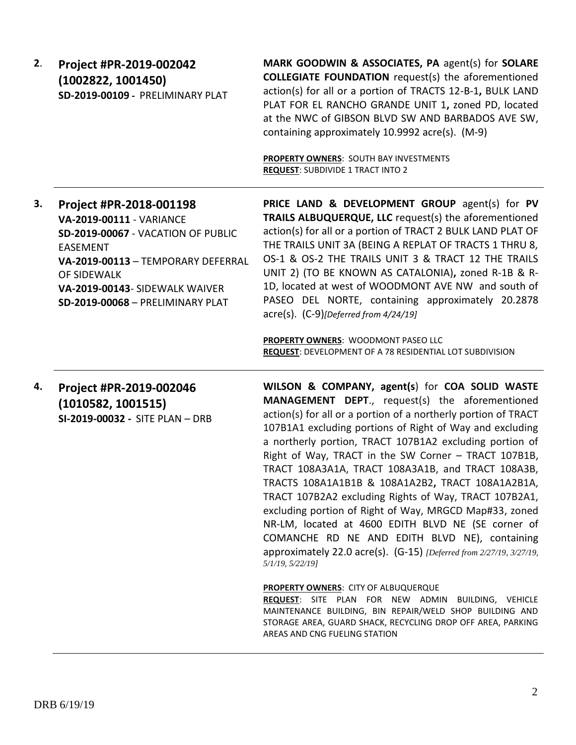| 2. | Project #PR-2019-002042          |
|----|----------------------------------|
|    | (1002822, 1001450)               |
|    | SD-2019-00109 - PRELIMINARY PLAT |

**MARK GOODWIN & ASSOCIATES, PA** agent(s) for **SOLARE COLLEGIATE FOUNDATION** request(s) the aforementioned action(s) for all or a portion of TRACTS 12-B-1**,** BULK LAND PLAT FOR EL RANCHO GRANDE UNIT 1**,** zoned PD, located at the NWC of GIBSON BLVD SW AND BARBADOS AVE SW, containing approximately 10.9992 acre(s). (M-9)

**PROPERTY OWNERS**: SOUTH BAY INVESTMENTS **REQUEST**: SUBDIVIDE 1 TRACT INTO 2

**3. Project #PR-2018-001198 VA-2019-00111** - VARIANCE **SD-2019-00067** - VACATION OF PUBLIC EASEMENT **VA-2019-00113** – TEMPORARY DEFERRAL OF SIDEWALK **VA-2019-00143**- SIDEWALK WAIVER **SD-2019-00068** – PRELIMINARY PLAT

**PRICE LAND & DEVELOPMENT GROUP** agent(s) for **PV TRAILS ALBUQUERQUE, LLC** request(s) the aforementioned action(s) for all or a portion of TRACT 2 BULK LAND PLAT OF THE TRAILS UNIT 3A (BEING A REPLAT OF TRACTS 1 THRU 8, OS-1 & OS-2 THE TRAILS UNIT 3 & TRACT 12 THE TRAILS UNIT 2) (TO BE KNOWN AS CATALONIA)**,** zoned R-1B & R-1D, located at west of WOODMONT AVE NW and south of PASEO DEL NORTE, containing approximately 20.2878 acre(s). (C-9)*[Deferred from 4/24/19]*

**PROPERTY OWNERS**: WOODMONT PASEO LLC **REQUEST**: DEVELOPMENT OF A 78 RESIDENTIAL LOT SUBDIVISION

**4. Project #PR-2019-002046 (1010582, 1001515) SI-2019-00032 -** SITE PLAN – DRB **WILSON & COMPANY, agent(s**) for **COA SOLID WASTE MANAGEMENT DEPT**., request(s) the aforementioned action(s) for all or a portion of a northerly portion of TRACT 107B1A1 excluding portions of Right of Way and excluding a northerly portion, TRACT 107B1A2 excluding portion of Right of Way, TRACT in the SW Corner – TRACT 107B1B, TRACT 108A3A1A, TRACT 108A3A1B, and TRACT 108A3B, TRACTS 108A1A1B1B & 108A1A2B2**,** TRACT 108A1A2B1A, TRACT 107B2A2 excluding Rights of Way, TRACT 107B2A1, excluding portion of Right of Way, MRGCD Map#33, zoned NR-LM, located at 4600 EDITH BLVD NE (SE corner of COMANCHE RD NE AND EDITH BLVD NE), containing approximately 22.0 acre(s). (G-15) *[Deferred from 2/27/19, 3/27/19, 5/1/19, 5/22/19]*

**PROPERTY OWNERS**: CITY OF ALBUQUERQUE

**REQUEST**: SITE PLAN FOR NEW ADMIN BUILDING, VEHICLE MAINTENANCE BUILDING, BIN REPAIR/WELD SHOP BUILDING AND STORAGE AREA, GUARD SHACK, RECYCLING DROP OFF AREA, PARKING AREAS AND CNG FUELING STATION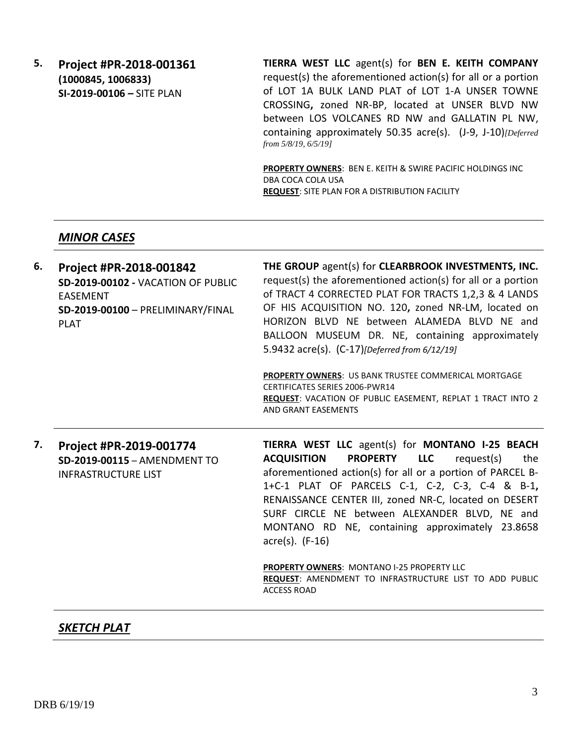**5. Project #PR-2018-001361 (1000845, 1006833) SI-2019-00106 –** SITE PLAN

**TIERRA WEST LLC** agent(s) for **BEN E. KEITH COMPANY** request(s) the aforementioned action(s) for all or a portion of LOT 1A BULK LAND PLAT of LOT 1-A UNSER TOWNE CROSSING**,** zoned NR-BP, located at UNSER BLVD NW between LOS VOLCANES RD NW and GALLATIN PL NW, containing approximately 50.35 acre(s). (J-9, J-10)*[Deferred from 5/8/19, 6/5/19]*

**PROPERTY OWNERS**: BEN E. KEITH & SWIRE PACIFIC HOLDINGS INC DBA COCA COLA USA **REQUEST**: SITE PLAN FOR A DISTRIBUTION FACILITY

#### *MINOR CASES*

| 6. | Project #PR-2018-001842<br>SD-2019-00102 - VACATION OF PUBLIC<br><b>EASEMENT</b><br>SD-2019-00100 - PRELIMINARY/FINAL<br><b>PLAT</b> | THE GROUP agent(s) for CLEARBROOK INVESTMENTS, INC.<br>request(s) the aforementioned action(s) for all or a portion<br>of TRACT 4 CORRECTED PLAT FOR TRACTS 1,2,3 & 4 LANDS<br>OF HIS ACQUISITION NO. 120, zoned NR-LM, located on<br>HORIZON BLVD NE between ALAMEDA BLVD NE and<br>BALLOON MUSEUM DR. NE, containing approximately<br>5.9432 acre(s). (C-17)[Deferred from 6/12/19]                                              |
|----|--------------------------------------------------------------------------------------------------------------------------------------|------------------------------------------------------------------------------------------------------------------------------------------------------------------------------------------------------------------------------------------------------------------------------------------------------------------------------------------------------------------------------------------------------------------------------------|
|    |                                                                                                                                      | PROPERTY OWNERS: US BANK TRUSTEE COMMERICAL MORTGAGE<br><b>CERTIFICATES SERIES 2006-PWR14</b><br>REQUEST: VACATION OF PUBLIC EASEMENT, REPLAT 1 TRACT INTO 2<br>AND GRANT EASEMENTS                                                                                                                                                                                                                                                |
| 7. | Project #PR-2019-001774<br>SD-2019-00115 - AMENDMENT TO<br><b>INFRASTRUCTURE LIST</b>                                                | TIERRA WEST LLC agent(s) for MONTANO I-25 BEACH<br><b>PROPERTY</b><br><b>LLC</b><br><b>ACQUISITION</b><br>request(s)<br>the<br>aforementioned action(s) for all or a portion of PARCEL B-<br>1+C-1 PLAT OF PARCELS C-1, C-2, C-3, C-4 & B-1,<br>RENAISSANCE CENTER III, zoned NR-C, located on DESERT<br>SURF CIRCLE NE between ALEXANDER BLVD, NE and<br>MONTANO RD NE, containing approximately 23.8658<br>$\arccos(5)$ . (F-16) |
|    |                                                                                                                                      | <b>PROPERTY OWNERS: MONTANO I-25 PROPERTY LLC</b><br>REQUEST: AMENDMENT TO INFRASTRUCTURE LIST TO ADD PUBLIC<br><b>ACCESS ROAD</b>                                                                                                                                                                                                                                                                                                 |

### *SKETCH PLAT*